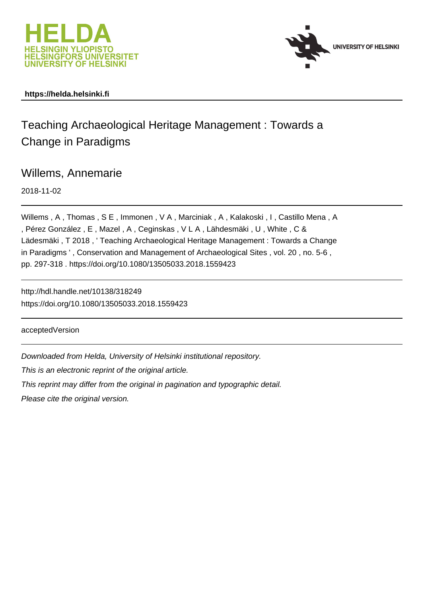



# **https://helda.helsinki.fi**

# Teaching Archaeological Heritage Management : Towards a Change in Paradigms

# Willems, Annemarie

2018-11-02

Willems, A, Thomas, SE, Immonen, VA, Marciniak, A, Kalakoski, I, Castillo Mena, A , Pérez González , E , Mazel , A , Ceginskas , V L A , Lähdesmäki , U , White , C & Lädesmäki , T 2018 , ' Teaching Archaeological Heritage Management : Towards a Change in Paradigms ' , Conservation and Management of Archaeological Sites , vol. 20 , no. 5-6 , pp. 297-318 . https://doi.org/10.1080/13505033.2018.1559423

http://hdl.handle.net/10138/318249 https://doi.org/10.1080/13505033.2018.1559423

# acceptedVersion

Downloaded from Helda, University of Helsinki institutional repository.

This is an electronic reprint of the original article.

This reprint may differ from the original in pagination and typographic detail.

Please cite the original version.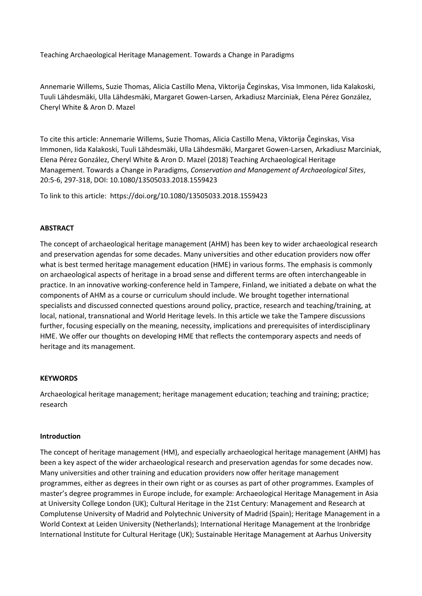Teaching Archaeological Heritage Management. Towards a Change in Paradigms

Annemarie Willems, Suzie Thomas, Alicia Castillo Mena, Viktorija Čeginskas, Visa Immonen, Iida Kalakoski, Tuuli Lähdesmäki, Ulla Lähdesmäki, Margaret Gowen-Larsen, Arkadiusz Marciniak, Elena Pérez González, Cheryl White & Aron D. Mazel

To cite this article: Annemarie Willems, Suzie Thomas, Alicia Castillo Mena, Viktorija Čeginskas, Visa Immonen, Iida Kalakoski, Tuuli Lähdesmäki, Ulla Lähdesmäki, Margaret Gowen-Larsen, Arkadiusz Marciniak, Elena Pérez González, Cheryl White & Aron D. Mazel (2018) Teaching Archaeological Heritage Management. Towards a Change in Paradigms, *Conservation and Management of Archaeological Sites*, 20:5-6, 297-318, DOI: 10.1080/13505033.2018.1559423

To link to this article: https://doi.org/10.1080/13505033.2018.1559423

# **ABSTRACT**

The concept of archaeological heritage management (AHM) has been key to wider archaeological research and preservation agendas for some decades. Many universities and other education providers now offer what is best termed heritage management education (HME) in various forms. The emphasis is commonly on archaeological aspects of heritage in a broad sense and different terms are often interchangeable in practice. In an innovative working-conference held in Tampere, Finland, we initiated a debate on what the components of AHM as a course or curriculum should include. We brought together international specialists and discussed connected questions around policy, practice, research and teaching/training, at local, national, transnational and World Heritage levels. In this article we take the Tampere discussions further, focusing especially on the meaning, necessity, implications and prerequisites of interdisciplinary HME. We offer our thoughts on developing HME that reflects the contemporary aspects and needs of heritage and its management.

# **KEYWORDS**

Archaeological heritage management; heritage management education; teaching and training; practice; research

# **Introduction**

The concept of heritage management (HM), and especially archaeological heritage management (AHM) has been a key aspect of the wider archaeological research and preservation agendas for some decades now. Many universities and other training and education providers now offer heritage management programmes, either as degrees in their own right or as courses as part of other programmes. Examples of master's degree programmes in Europe include, for example: Archaeological Heritage Management in Asia at University College London (UK); Cultural Heritage in the 21st Century: Management and Research at Complutense University of Madrid and Polytechnic University of Madrid (Spain); Heritage Management in a World Context at Leiden University (Netherlands); International Heritage Management at the Ironbridge International Institute for Cultural Heritage (UK); Sustainable Heritage Management at Aarhus University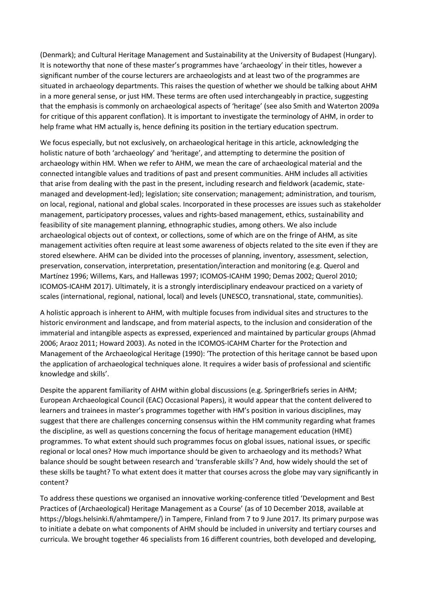(Denmark); and Cultural Heritage Management and Sustainability at the University of Budapest (Hungary). It is noteworthy that none of these master's programmes have 'archaeology' in their titles, however a significant number of the course lecturers are archaeologists and at least two of the programmes are situated in archaeology departments. This raises the question of whether we should be talking about AHM in a more general sense, or just HM. These terms are often used interchangeably in practice, suggesting that the emphasis is commonly on archaeological aspects of 'heritage' (see also Smith and Waterton 2009a for critique of this apparent conflation). It is important to investigate the terminology of AHM, in order to help frame what HM actually is, hence defining its position in the tertiary education spectrum.

We focus especially, but not exclusively, on archaeological heritage in this article, acknowledging the holistic nature of both 'archaeology' and 'heritage', and attempting to determine the position of archaeology within HM. When we refer to AHM, we mean the care of archaeological material and the connected intangible values and traditions of past and present communities. AHM includes all activities that arise from dealing with the past in the present, including research and fieldwork (academic, statemanaged and development-led); legislation; site conservation; management; administration, and tourism, on local, regional, national and global scales. Incorporated in these processes are issues such as stakeholder management, participatory processes, values and rights-based management, ethics, sustainability and feasibility of site management planning, ethnographic studies, among others. We also include archaeological objects out of context, or collections, some of which are on the fringe of AHM, as site management activities often require at least some awareness of objects related to the site even if they are stored elsewhere. AHM can be divided into the processes of planning, inventory, assessment, selection, preservation, conservation, interpretation, presentation/interaction and monitoring (e.g. Querol and Martínez 1996; Willems, Kars, and Hallewas 1997; ICOMOS-ICAHM 1990; Demas 2002; Querol 2010; ICOMOS-ICAHM 2017). Ultimately, it is a strongly interdisciplinary endeavour practiced on a variety of scales (international, regional, national, local) and levels (UNESCO, transnational, state, communities).

A holistic approach is inherent to AHM, with multiple focuses from individual sites and structures to the historic environment and landscape, and from material aspects, to the inclusion and consideration of the immaterial and intangible aspects as expressed, experienced and maintained by particular groups (Ahmad 2006; Araoz 2011; Howard 2003). As noted in the ICOMOS-ICAHM Charter for the Protection and Management of the Archaeological Heritage (1990): 'The protection of this heritage cannot be based upon the application of archaeological techniques alone. It requires a wider basis of professional and scientific knowledge and skills'.

Despite the apparent familiarity of AHM within global discussions (e.g. SpringerBriefs series in AHM; European Archaeological Council (EAC) Occasional Papers), it would appear that the content delivered to learners and trainees in master's programmes together with HM's position in various disciplines, may suggest that there are challenges concerning consensus within the HM community regarding what frames the discipline, as well as questions concerning the focus of heritage management education (HME) programmes. To what extent should such programmes focus on global issues, national issues, or specific regional or local ones? How much importance should be given to archaeology and its methods? What balance should be sought between research and 'transferable skills'? And, how widely should the set of these skills be taught? To what extent does it matter that courses across the globe may vary significantly in content?

To address these questions we organised an innovative working-conference titled 'Development and Best Practices of (Archaeological) Heritage Management as a Course' (as of 10 December 2018, available at https://blogs.helsinki.fi/ahmtampere/) in Tampere, Finland from 7 to 9 June 2017. Its primary purpose was to initiate a debate on what components of AHM should be included in university and tertiary courses and curricula. We brought together 46 specialists from 16 different countries, both developed and developing,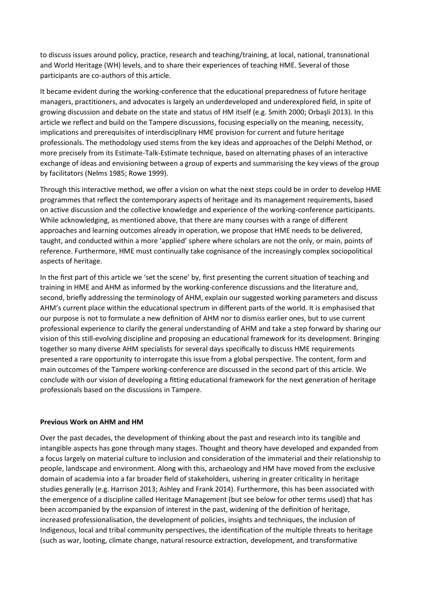to discuss issues around policy, practice, research and teaching/training, at local, national, transnational and World Heritage (WH) levels, and to share their experiences of teaching HME. Several of those participants are co-authors of this article.

It became evident during the working-conference that the educational preparedness of future heritage managers, practitioners, and advocates is largely an underdeveloped and underexplored field, in spite of growing discussion and debate on the state and status of HM itself (e.g. Smith 2000; Orbaşli 2013). In this article we reflect and build on the Tampere discussions, focusing especially on the meaning, necessity, implications and prerequisites of interdisciplinary HME provision for current and future heritage professionals. The methodology used stems from the key ideas and approaches of the Delphi Method, or more precisely from its Estimate-Talk-Estimate technique, based on alternating phases of an interactive exchange of ideas and envisioning between a group of experts and summarising the key views of the group by facilitators (Nelms 1985; Rowe 1999).

Through this interactive method, we offer a vision on what the next steps could be in order to develop HME programmes that reflect the contemporary aspects of heritage and its management requirements, based on active discussion and the collective knowledge and experience of the working-conference participants. While acknowledging, as mentioned above, that there are many courses with a range of different approaches and learning outcomes already in operation, we propose that HME needs to be delivered, taught, and conducted within a more 'applied' sphere where scholars are not the only, or main, points of reference. Furthermore, HME must continually take cognisance of the increasingly complex sociopolitical aspects of heritage.

In the first part of this article we 'set the scene' by, first presenting the current situation of teaching and training in HME and AHM as informed by the working-conference discussions and the literature and, second, briefly addressing the terminology of AHM, explain our suggested working parameters and discuss AHM's current place within the educational spectrum in different parts of the world. It is emphasised that our purpose is not to formulate a new definition of AHM nor to dismiss earlier ones, but to use current professional experience to clarify the general understanding of AHM and take a step forward by sharing our vision of this still-evolving discipline and proposing an educational framework for its development. Bringing together so many diverse AHM specialists for several days specifically to discuss HME requirements presented a rare opportunity to interrogate this issue from a global perspective. The content, form and main outcomes of the Tampere working-conference are discussed in the second part of this article. We conclude with our vision of developing a fitting educational framework for the next generation of heritage professionals based on the discussions in Tampere.

# **Previous Work on AHM and HM**

Over the past decades, the development of thinking about the past and research into its tangible and intangible aspects has gone through many stages. Thought and theory have developed and expanded from a focus largely on material culture to inclusion and consideration of the immaterial and their relationship to people, landscape and environment. Along with this, archaeology and HM have moved from the exclusive domain of academia into a far broader field of stakeholders, ushering in greater criticality in heritage studies generally (e.g. Harrison 2013; Ashley and Frank 2014). Furthermore, this has been associated with the emergence of a discipline called Heritage Management (but see below for other terms used) that has been accompanied by the expansion of interest in the past, widening of the definition of heritage, increased professionalisation, the development of policies, insights and techniques, the inclusion of Indigenous, local and tribal community perspectives, the identification of the multiple threats to heritage (such as war, looting, climate change, natural resource extraction, development, and transformative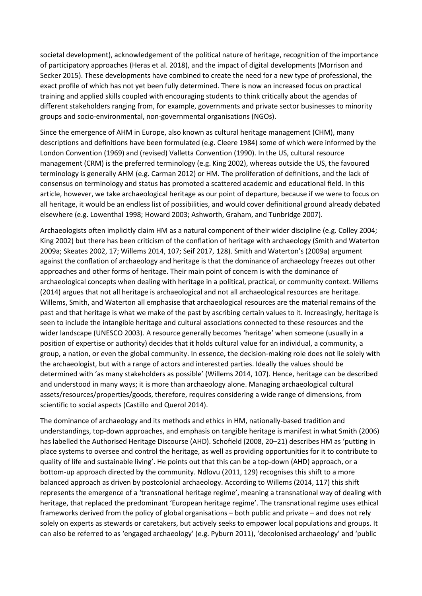societal development), acknowledgement of the political nature of heritage, recognition of the importance of participatory approaches (Heras et al. 2018), and the impact of digital developments (Morrison and Secker 2015). These developments have combined to create the need for a new type of professional, the exact profile of which has not yet been fully determined. There is now an increased focus on practical training and applied skills coupled with encouraging students to think critically about the agendas of different stakeholders ranging from, for example, governments and private sector businesses to minority groups and socio-environmental, non-governmental organisations (NGOs).

Since the emergence of AHM in Europe, also known as cultural heritage management (CHM), many descriptions and definitions have been formulated (e.g. Cleere 1984) some of which were informed by the London Convention (1969) and (revised) Valletta Convention (1990). In the US, cultural resource management (CRM) is the preferred terminology (e.g. King 2002), whereas outside the US, the favoured terminology is generally AHM (e.g. Carman 2012) or HM. The proliferation of definitions, and the lack of consensus on terminology and status has promoted a scattered academic and educational field. In this article, however, we take archaeological heritage as our point of departure, because if we were to focus on all heritage, it would be an endless list of possibilities, and would cover definitional ground already debated elsewhere (e.g. Lowenthal 1998; Howard 2003; Ashworth, Graham, and Tunbridge 2007).

Archaeologists often implicitly claim HM as a natural component of their wider discipline (e.g. Colley 2004; King 2002) but there has been criticism of the conflation of heritage with archaeology (Smith and Waterton 2009a; Skeates 2002, 17; Willems 2014, 107; Seif 2017, 128). Smith and Waterton's (2009a) argument against the conflation of archaeology and heritage is that the dominance of archaeology freezes out other approaches and other forms of heritage. Their main point of concern is with the dominance of archaeological concepts when dealing with heritage in a political, practical, or community context. Willems (2014) argues that not all heritage is archaeological and not all archaeological resources are heritage. Willems, Smith, and Waterton all emphasise that archaeological resources are the material remains of the past and that heritage is what we make of the past by ascribing certain values to it. Increasingly, heritage is seen to include the intangible heritage and cultural associations connected to these resources and the wider landscape (UNESCO 2003). A resource generally becomes 'heritage' when someone (usually in a position of expertise or authority) decides that it holds cultural value for an individual, a community, a group, a nation, or even the global community. In essence, the decision-making role does not lie solely with the archaeologist, but with a range of actors and interested parties. Ideally the values should be determined with 'as many stakeholders as possible' (Willems 2014, 107). Hence, heritage can be described and understood in many ways; it is more than archaeology alone. Managing archaeological cultural assets/resources/properties/goods, therefore, requires considering a wide range of dimensions, from scientific to social aspects (Castillo and Querol 2014).

The dominance of archaeology and its methods and ethics in HM, nationally-based tradition and understandings, top-down approaches, and emphasis on tangible heritage is manifest in what Smith (2006) has labelled the Authorised Heritage Discourse (AHD). Schofield (2008, 20–21) describes HM as 'putting in place systems to oversee and control the heritage, as well as providing opportunities for it to contribute to quality of life and sustainable living'. He points out that this can be a top-down (AHD) approach, or a bottom-up approach directed by the community. Ndlovu (2011, 129) recognises this shift to a more balanced approach as driven by postcolonial archaeology. According to Willems (2014, 117) this shift represents the emergence of a 'transnational heritage regime', meaning a transnational way of dealing with heritage, that replaced the predominant 'European heritage regime'. The transnational regime uses ethical frameworks derived from the policy of global organisations – both public and private – and does not rely solely on experts as stewards or caretakers, but actively seeks to empower local populations and groups. It can also be referred to as 'engaged archaeology' (e.g. Pyburn 2011), 'decolonised archaeology' and 'public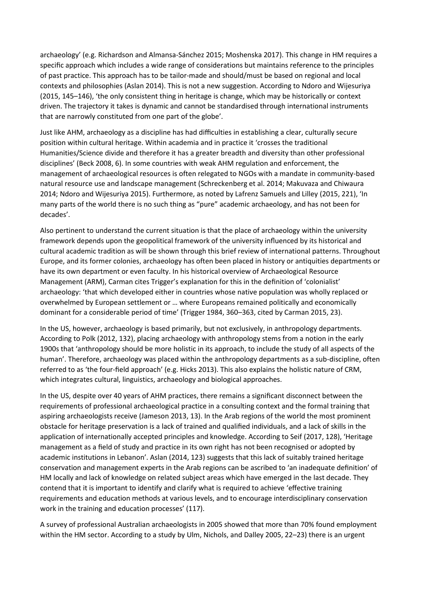archaeology' (e.g. Richardson and Almansa-Sánchez 2015; Moshenska 2017). This change in HM requires a specific approach which includes a wide range of considerations but maintains reference to the principles of past practice. This approach has to be tailor-made and should/must be based on regional and local contexts and philosophies (Aslan 2014). This is not a new suggestion. According to Ndoro and Wijesuriya (2015, 145–146), 'the only consistent thing in heritage is change, which may be historically or context driven. The trajectory it takes is dynamic and cannot be standardised through international instruments that are narrowly constituted from one part of the globe'.

Just like AHM, archaeology as a discipline has had difficulties in establishing a clear, culturally secure position within cultural heritage. Within academia and in practice it 'crosses the traditional Humanities/Science divide and therefore it has a greater breadth and diversity than other professional disciplines' (Beck 2008, 6). In some countries with weak AHM regulation and enforcement, the management of archaeological resources is often relegated to NGOs with a mandate in community-based natural resource use and landscape management (Schreckenberg et al. 2014; Makuvaza and Chiwaura 2014; Ndoro and Wijesuriya 2015). Furthermore, as noted by Lafrenz Samuels and Lilley (2015, 221), 'In many parts of the world there is no such thing as "pure" academic archaeology, and has not been for decades'.

Also pertinent to understand the current situation is that the place of archaeology within the university framework depends upon the geopolitical framework of the university influenced by its historical and cultural academic tradition as will be shown through this brief review of international patterns. Throughout Europe, and its former colonies, archaeology has often been placed in history or antiquities departments or have its own department or even faculty. In his historical overview of Archaeological Resource Management (ARM), Carman cites Trigger's explanation for this in the definition of 'colonialist' archaeology: 'that which developed either in countries whose native population was wholly replaced or overwhelmed by European settlement or … where Europeans remained politically and economically dominant for a considerable period of time' (Trigger 1984, 360–363, cited by Carman 2015, 23).

In the US, however, archaeology is based primarily, but not exclusively, in anthropology departments. According to Polk (2012, 132), placing archaeology with anthropology stems from a notion in the early 1900s that 'anthropology should be more holistic in its approach, to include the study of all aspects of the human'. Therefore, archaeology was placed within the anthropology departments as a sub-discipline, often referred to as 'the four-field approach' (e.g. Hicks 2013). This also explains the holistic nature of CRM, which integrates cultural, linguistics, archaeology and biological approaches.

In the US, despite over 40 years of AHM practices, there remains a significant disconnect between the requirements of professional archaeological practice in a consulting context and the formal training that aspiring archaeologists receive (Jameson 2013, 13). In the Arab regions of the world the most prominent obstacle for heritage preservation is a lack of trained and qualified individuals, and a lack of skills in the application of internationally accepted principles and knowledge. According to Seif (2017, 128), 'Heritage management as a field of study and practice in its own right has not been recognised or adopted by academic institutions in Lebanon'. Aslan (2014, 123) suggests that this lack of suitably trained heritage conservation and management experts in the Arab regions can be ascribed to 'an inadequate definition' of HM locally and lack of knowledge on related subject areas which have emerged in the last decade. They contend that it is important to identify and clarify what is required to achieve 'effective training requirements and education methods at various levels, and to encourage interdisciplinary conservation work in the training and education processes' (117).

A survey of professional Australian archaeologists in 2005 showed that more than 70% found employment within the HM sector. According to a study by Ulm, Nichols, and Dalley 2005, 22–23) there is an urgent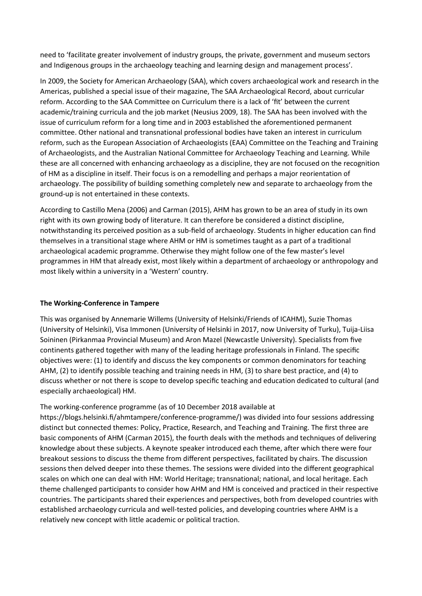need to 'facilitate greater involvement of industry groups, the private, government and museum sectors and Indigenous groups in the archaeology teaching and learning design and management process'.

In 2009, the Society for American Archaeology (SAA), which covers archaeological work and research in the Americas, published a special issue of their magazine, The SAA Archaeological Record, about curricular reform. According to the SAA Committee on Curriculum there is a lack of 'fit' between the current academic/training curricula and the job market (Neusius 2009, 18). The SAA has been involved with the issue of curriculum reform for a long time and in 2003 established the aforementioned permanent committee. Other national and transnational professional bodies have taken an interest in curriculum reform, such as the European Association of Archaeologists (EAA) Committee on the Teaching and Training of Archaeologists, and the Australian National Committee for Archaeology Teaching and Learning. While these are all concerned with enhancing archaeology as a discipline, they are not focused on the recognition of HM as a discipline in itself. Their focus is on a remodelling and perhaps a major reorientation of archaeology. The possibility of building something completely new and separate to archaeology from the ground-up is not entertained in these contexts.

According to Castillo Mena (2006) and Carman (2015), AHM has grown to be an area of study in its own right with its own growing body of literature. It can therefore be considered a distinct discipline, notwithstanding its perceived position as a sub-field of archaeology. Students in higher education can find themselves in a transitional stage where AHM or HM is sometimes taught as a part of a traditional archaeological academic programme. Otherwise they might follow one of the few master's level programmes in HM that already exist, most likely within a department of archaeology or anthropology and most likely within a university in a 'Western' country.

# **The Working-Conference in Tampere**

This was organised by Annemarie Willems (University of Helsinki/Friends of ICAHM), Suzie Thomas (University of Helsinki), Visa Immonen (University of Helsinki in 2017, now University of Turku), Tuija-Liisa Soininen (Pirkanmaa Provincial Museum) and Aron Mazel (Newcastle University). Specialists from five continents gathered together with many of the leading heritage professionals in Finland. The specific objectives were: (1) to identify and discuss the key components or common denominators for teaching AHM, (2) to identify possible teaching and training needs in HM, (3) to share best practice, and (4) to discuss whether or not there is scope to develop specific teaching and education dedicated to cultural (and especially archaeological) HM.

# The working-conference programme (as of 10 December 2018 available at

https://blogs.helsinki.fi/ahmtampere/conference-programme/) was divided into four sessions addressing distinct but connected themes: Policy, Practice, Research, and Teaching and Training. The first three are basic components of AHM (Carman 2015), the fourth deals with the methods and techniques of delivering knowledge about these subjects. A keynote speaker introduced each theme, after which there were four breakout sessions to discuss the theme from different perspectives, facilitated by chairs. The discussion sessions then delved deeper into these themes. The sessions were divided into the different geographical scales on which one can deal with HM: World Heritage; transnational; national, and local heritage. Each theme challenged participants to consider how AHM and HM is conceived and practiced in their respective countries. The participants shared their experiences and perspectives, both from developed countries with established archaeology curricula and well-tested policies, and developing countries where AHM is a relatively new concept with little academic or political traction.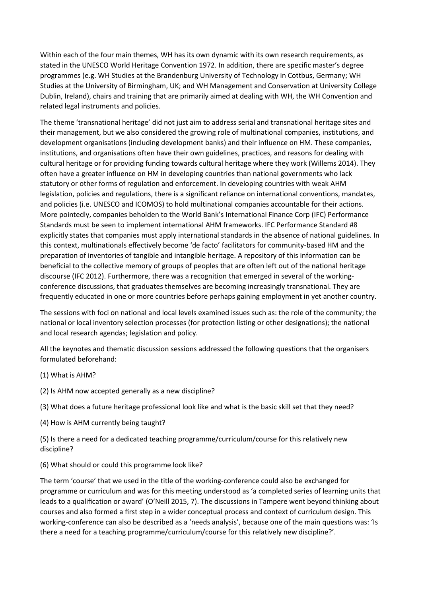Within each of the four main themes, WH has its own dynamic with its own research requirements, as stated in the UNESCO World Heritage Convention 1972. In addition, there are specific master's degree programmes (e.g. WH Studies at the Brandenburg University of Technology in Cottbus, Germany; WH Studies at the University of Birmingham, UK; and WH Management and Conservation at University College Dublin, Ireland), chairs and training that are primarily aimed at dealing with WH, the WH Convention and related legal instruments and policies.

The theme 'transnational heritage' did not just aim to address serial and transnational heritage sites and their management, but we also considered the growing role of multinational companies, institutions, and development organisations (including development banks) and their influence on HM. These companies, institutions, and organisations often have their own guidelines, practices, and reasons for dealing with cultural heritage or for providing funding towards cultural heritage where they work (Willems 2014). They often have a greater influence on HM in developing countries than national governments who lack statutory or other forms of regulation and enforcement. In developing countries with weak AHM legislation, policies and regulations, there is a significant reliance on international conventions, mandates, and policies (i.e. UNESCO and ICOMOS) to hold multinational companies accountable for their actions. More pointedly, companies beholden to the World Bank's International Finance Corp (IFC) Performance Standards must be seen to implement international AHM frameworks. IFC Performance Standard #8 explicitly states that companies must apply international standards in the absence of national guidelines. In this context, multinationals effectively become 'de facto' facilitators for community-based HM and the preparation of inventories of tangible and intangible heritage. A repository of this information can be beneficial to the collective memory of groups of peoples that are often left out of the national heritage discourse (IFC 2012). Furthermore, there was a recognition that emerged in several of the workingconference discussions, that graduates themselves are becoming increasingly transnational. They are frequently educated in one or more countries before perhaps gaining employment in yet another country.

The sessions with foci on national and local levels examined issues such as: the role of the community; the national or local inventory selection processes (for protection listing or other designations); the national and local research agendas; legislation and policy.

All the keynotes and thematic discussion sessions addressed the following questions that the organisers formulated beforehand:

- (1) What is AHM?
- (2) Is AHM now accepted generally as a new discipline?
- (3) What does a future heritage professional look like and what is the basic skill set that they need?
- (4) How is AHM currently being taught?

(5) Is there a need for a dedicated teaching programme/curriculum/course for this relatively new discipline?

(6) What should or could this programme look like?

The term 'course' that we used in the title of the working-conference could also be exchanged for programme or curriculum and was for this meeting understood as 'a completed series of learning units that leads to a qualification or award' (O'Neill 2015, 7). The discussions in Tampere went beyond thinking about courses and also formed a first step in a wider conceptual process and context of curriculum design. This working-conference can also be described as a 'needs analysis', because one of the main questions was: 'Is there a need for a teaching programme/curriculum/course for this relatively new discipline?'.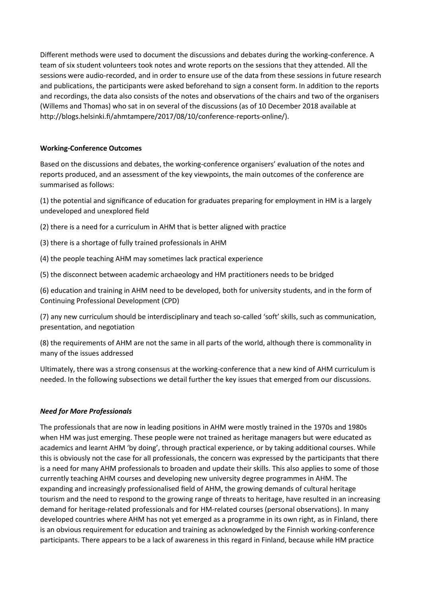Different methods were used to document the discussions and debates during the working-conference. A team of six student volunteers took notes and wrote reports on the sessions that they attended. All the sessions were audio-recorded, and in order to ensure use of the data from these sessions in future research and publications, the participants were asked beforehand to sign a consent form. In addition to the reports and recordings, the data also consists of the notes and observations of the chairs and two of the organisers (Willems and Thomas) who sat in on several of the discussions (as of 10 December 2018 available at http://blogs.helsinki.fi/ahmtampere/2017/08/10/conference-reports-online/).

# **Working-Conference Outcomes**

Based on the discussions and debates, the working-conference organisers' evaluation of the notes and reports produced, and an assessment of the key viewpoints, the main outcomes of the conference are summarised as follows:

(1) the potential and significance of education for graduates preparing for employment in HM is a largely undeveloped and unexplored field

- (2) there is a need for a curriculum in AHM that is better aligned with practice
- (3) there is a shortage of fully trained professionals in AHM
- (4) the people teaching AHM may sometimes lack practical experience
- (5) the disconnect between academic archaeology and HM practitioners needs to be bridged

(6) education and training in AHM need to be developed, both for university students, and in the form of Continuing Professional Development (CPD)

(7) any new curriculum should be interdisciplinary and teach so-called 'soft' skills, such as communication, presentation, and negotiation

(8) the requirements of AHM are not the same in all parts of the world, although there is commonality in many of the issues addressed

Ultimately, there was a strong consensus at the working-conference that a new kind of AHM curriculum is needed. In the following subsections we detail further the key issues that emerged from our discussions.

# *Need for More Professionals*

The professionals that are now in leading positions in AHM were mostly trained in the 1970s and 1980s when HM was just emerging. These people were not trained as heritage managers but were educated as academics and learnt AHM 'by doing', through practical experience, or by taking additional courses. While this is obviously not the case for all professionals, the concern was expressed by the participants that there is a need for many AHM professionals to broaden and update their skills. This also applies to some of those currently teaching AHM courses and developing new university degree programmes in AHM. The expanding and increasingly professionalised field of AHM, the growing demands of cultural heritage tourism and the need to respond to the growing range of threats to heritage, have resulted in an increasing demand for heritage-related professionals and for HM-related courses (personal observations). In many developed countries where AHM has not yet emerged as a programme in its own right, as in Finland, there is an obvious requirement for education and training as acknowledged by the Finnish working-conference participants. There appears to be a lack of awareness in this regard in Finland, because while HM practice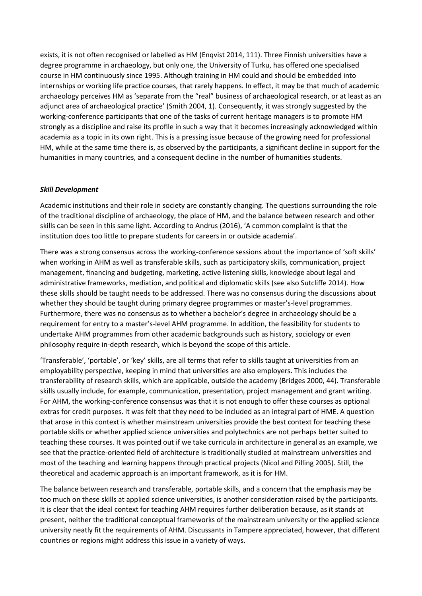exists, it is not often recognised or labelled as HM (Enqvist 2014, 111). Three Finnish universities have a degree programme in archaeology, but only one, the University of Turku, has offered one specialised course in HM continuously since 1995. Although training in HM could and should be embedded into internships or working life practice courses, that rarely happens. In effect, it may be that much of academic archaeology perceives HM as 'separate from the "real" business of archaeological research, or at least as an adjunct area of archaeological practice' (Smith 2004, 1). Consequently, it was strongly suggested by the working-conference participants that one of the tasks of current heritage managers is to promote HM strongly as a discipline and raise its profile in such a way that it becomes increasingly acknowledged within academia as a topic in its own right. This is a pressing issue because of the growing need for professional HM, while at the same time there is, as observed by the participants, a significant decline in support for the humanities in many countries, and a consequent decline in the number of humanities students.

# *Skill Development*

Academic institutions and their role in society are constantly changing. The questions surrounding the role of the traditional discipline of archaeology, the place of HM, and the balance between research and other skills can be seen in this same light. According to Andrus (2016), 'A common complaint is that the institution does too little to prepare students for careers in or outside academia'.

There was a strong consensus across the working-conference sessions about the importance of 'soft skills' when working in AHM as well as transferable skills, such as participatory skills, communication, project management, financing and budgeting, marketing, active listening skills, knowledge about legal and administrative frameworks, mediation, and political and diplomatic skills (see also Sutcliffe 2014). How these skills should be taught needs to be addressed. There was no consensus during the discussions about whether they should be taught during primary degree programmes or master's-level programmes. Furthermore, there was no consensus as to whether a bachelor's degree in archaeology should be a requirement for entry to a master's-level AHM programme. In addition, the feasibility for students to undertake AHM programmes from other academic backgrounds such as history, sociology or even philosophy require in-depth research, which is beyond the scope of this article.

'Transferable', 'portable', or 'key' skills, are all terms that refer to skills taught at universities from an employability perspective, keeping in mind that universities are also employers. This includes the transferability of research skills, which are applicable, outside the academy (Bridges 2000, 44). Transferable skills usually include, for example, communication, presentation, project management and grant writing. For AHM, the working-conference consensus was that it is not enough to offer these courses as optional extras for credit purposes. It was felt that they need to be included as an integral part of HME. A question that arose in this context is whether mainstream universities provide the best context for teaching these portable skills or whether applied science universities and polytechnics are not perhaps better suited to teaching these courses. It was pointed out if we take curricula in architecture in general as an example, we see that the practice-oriented field of architecture is traditionally studied at mainstream universities and most of the teaching and learning happens through practical projects (Nicol and Pilling 2005). Still, the theoretical and academic approach is an important framework, as it is for HM.

The balance between research and transferable, portable skills, and a concern that the emphasis may be too much on these skills at applied science universities, is another consideration raised by the participants. It is clear that the ideal context for teaching AHM requires further deliberation because, as it stands at present, neither the traditional conceptual frameworks of the mainstream university or the applied science university neatly fit the requirements of AHM. Discussants in Tampere appreciated, however, that different countries or regions might address this issue in a variety of ways.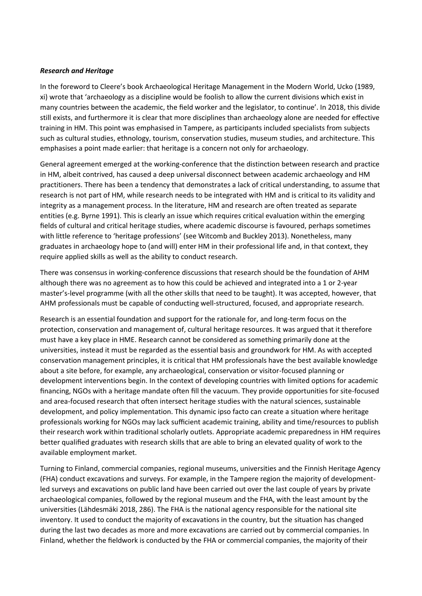# *Research and Heritage*

In the foreword to Cleere's book Archaeological Heritage Management in the Modern World, Ucko (1989, xi) wrote that 'archaeology as a discipline would be foolish to allow the current divisions which exist in many countries between the academic, the field worker and the legislator, to continue'. In 2018, this divide still exists, and furthermore it is clear that more disciplines than archaeology alone are needed for effective training in HM. This point was emphasised in Tampere, as participants included specialists from subjects such as cultural studies, ethnology, tourism, conservation studies, museum studies, and architecture. This emphasises a point made earlier: that heritage is a concern not only for archaeology.

General agreement emerged at the working-conference that the distinction between research and practice in HM, albeit contrived, has caused a deep universal disconnect between academic archaeology and HM practitioners. There has been a tendency that demonstrates a lack of critical understanding, to assume that research is not part of HM, while research needs to be integrated with HM and is critical to its validity and integrity as a management process. In the literature, HM and research are often treated as separate entities (e.g. Byrne 1991). This is clearly an issue which requires critical evaluation within the emerging fields of cultural and critical heritage studies, where academic discourse is favoured, perhaps sometimes with little reference to 'heritage professions' (see Witcomb and Buckley 2013). Nonetheless, many graduates in archaeology hope to (and will) enter HM in their professional life and, in that context, they require applied skills as well as the ability to conduct research.

There was consensus in working-conference discussions that research should be the foundation of AHM although there was no agreement as to how this could be achieved and integrated into a 1 or 2-year master's-level programme (with all the other skills that need to be taught). It was accepted, however, that AHM professionals must be capable of conducting well-structured, focused, and appropriate research.

Research is an essential foundation and support for the rationale for, and long-term focus on the protection, conservation and management of, cultural heritage resources. It was argued that it therefore must have a key place in HME. Research cannot be considered as something primarily done at the universities, instead it must be regarded as the essential basis and groundwork for HM. As with accepted conservation management principles, it is critical that HM professionals have the best available knowledge about a site before, for example, any archaeological, conservation or visitor-focused planning or development interventions begin. In the context of developing countries with limited options for academic financing, NGOs with a heritage mandate often fill the vacuum. They provide opportunities for site-focused and area-focused research that often intersect heritage studies with the natural sciences, sustainable development, and policy implementation. This dynamic ipso facto can create a situation where heritage professionals working for NGOs may lack sufficient academic training, ability and time/resources to publish their research work within traditional scholarly outlets. Appropriate academic preparedness in HM requires better qualified graduates with research skills that are able to bring an elevated quality of work to the available employment market.

Turning to Finland, commercial companies, regional museums, universities and the Finnish Heritage Agency (FHA) conduct excavations and surveys. For example, in the Tampere region the majority of developmentled surveys and excavations on public land have been carried out over the last couple of years by private archaeological companies, followed by the regional museum and the FHA, with the least amount by the universities (Lähdesmäki 2018, 286). The FHA is the national agency responsible for the national site inventory. It used to conduct the majority of excavations in the country, but the situation has changed during the last two decades as more and more excavations are carried out by commercial companies. In Finland, whether the fieldwork is conducted by the FHA or commercial companies, the majority of their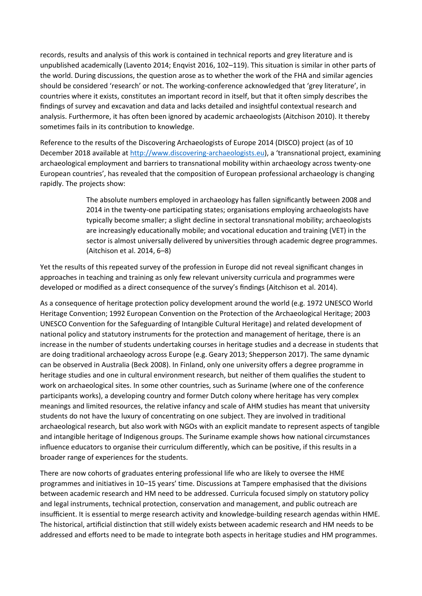records, results and analysis of this work is contained in technical reports and grey literature and is unpublished academically (Lavento 2014; Enqvist 2016, 102–119). This situation is similar in other parts of the world. During discussions, the question arose as to whether the work of the FHA and similar agencies should be considered 'research' or not. The working-conference acknowledged that 'grey literature', in countries where it exists, constitutes an important record in itself, but that it often simply describes the findings of survey and excavation and data and lacks detailed and insightful contextual research and analysis. Furthermore, it has often been ignored by academic archaeologists (Aitchison 2010). It thereby sometimes fails in its contribution to knowledge.

Reference to the results of the Discovering Archaeologists of Europe 2014 (DISCO) project (as of 10 December 2018 available a[t http://www.discovering-archaeologists.eu\)](http://www.discovering-archaeologists.eu/), a 'transnational project, examining archaeological employment and barriers to transnational mobility within archaeology across twenty-one European countries', has revealed that the composition of European professional archaeology is changing rapidly. The projects show:

> The absolute numbers employed in archaeology has fallen significantly between 2008 and 2014 in the twenty-one participating states; organisations employing archaeologists have typically become smaller; a slight decline in sectoral transnational mobility; archaeologists are increasingly educationally mobile; and vocational education and training (VET) in the sector is almost universally delivered by universities through academic degree programmes. (Aitchison et al. 2014, 6–8)

Yet the results of this repeated survey of the profession in Europe did not reveal significant changes in approaches in teaching and training as only few relevant university curricula and programmes were developed or modified as a direct consequence of the survey's findings (Aitchison et al. 2014).

As a consequence of heritage protection policy development around the world (e.g. 1972 UNESCO World Heritage Convention; 1992 European Convention on the Protection of the Archaeological Heritage; 2003 UNESCO Convention for the Safeguarding of Intangible Cultural Heritage) and related development of national policy and statutory instruments for the protection and management of heritage, there is an increase in the number of students undertaking courses in heritage studies and a decrease in students that are doing traditional archaeology across Europe (e.g. Geary 2013; Shepperson 2017). The same dynamic can be observed in Australia (Beck 2008). In Finland, only one university offers a degree programme in heritage studies and one in cultural environment research, but neither of them qualifies the student to work on archaeological sites. In some other countries, such as Suriname (where one of the conference participants works), a developing country and former Dutch colony where heritage has very complex meanings and limited resources, the relative infancy and scale of AHM studies has meant that university students do not have the luxury of concentrating on one subject. They are involved in traditional archaeological research, but also work with NGOs with an explicit mandate to represent aspects of tangible and intangible heritage of Indigenous groups. The Suriname example shows how national circumstances influence educators to organise their curriculum differently, which can be positive, if this results in a broader range of experiences for the students.

There are now cohorts of graduates entering professional life who are likely to oversee the HME programmes and initiatives in 10–15 years' time. Discussions at Tampere emphasised that the divisions between academic research and HM need to be addressed. Curricula focused simply on statutory policy and legal instruments, technical protection, conservation and management, and public outreach are insufficient. It is essential to merge research activity and knowledge-building research agendas within HME. The historical, artificial distinction that still widely exists between academic research and HM needs to be addressed and efforts need to be made to integrate both aspects in heritage studies and HM programmes.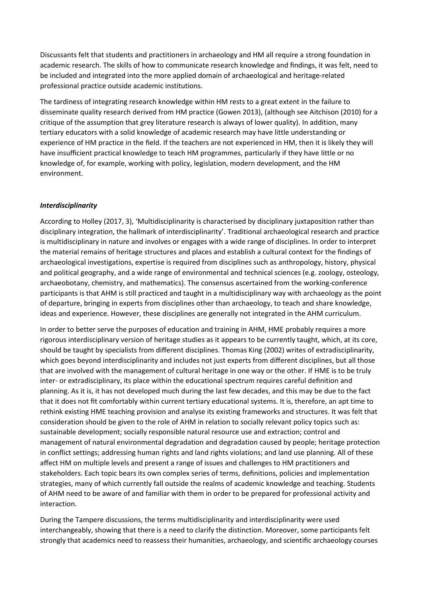Discussants felt that students and practitioners in archaeology and HM all require a strong foundation in academic research. The skills of how to communicate research knowledge and findings, it was felt, need to be included and integrated into the more applied domain of archaeological and heritage-related professional practice outside academic institutions.

The tardiness of integrating research knowledge within HM rests to a great extent in the failure to disseminate quality research derived from HM practice (Gowen 2013), (although see Aitchison (2010) for a critique of the assumption that grey literature research is always of lower quality). In addition, many tertiary educators with a solid knowledge of academic research may have little understanding or experience of HM practice in the field. If the teachers are not experienced in HM, then it is likely they will have insufficient practical knowledge to teach HM programmes, particularly if they have little or no knowledge of, for example, working with policy, legislation, modern development, and the HM environment.

# *Interdisciplinarity*

According to Holley (2017, 3), 'Multidisciplinarity is characterised by disciplinary juxtaposition rather than disciplinary integration, the hallmark of interdisciplinarity'. Traditional archaeological research and practice is multidisciplinary in nature and involves or engages with a wide range of disciplines. In order to interpret the material remains of heritage structures and places and establish a cultural context for the findings of archaeological investigations, expertise is required from disciplines such as anthropology, history, physical and political geography, and a wide range of environmental and technical sciences (e.g. zoology, osteology, archaeobotany, chemistry, and mathematics). The consensus ascertained from the working-conference participants is that AHM is still practiced and taught in a multidisciplinary way with archaeology as the point of departure, bringing in experts from disciplines other than archaeology, to teach and share knowledge, ideas and experience. However, these disciplines are generally not integrated in the AHM curriculum.

In order to better serve the purposes of education and training in AHM, HME probably requires a more rigorous interdisciplinary version of heritage studies as it appears to be currently taught, which, at its core, should be taught by specialists from different disciplines. Thomas King (2002) writes of extradisciplinarity, which goes beyond interdisciplinarity and includes not just experts from different disciplines, but all those that are involved with the management of cultural heritage in one way or the other. If HME is to be truly inter- or extradisciplinary, its place within the educational spectrum requires careful definition and planning. As it is, it has not developed much during the last few decades, and this may be due to the fact that it does not fit comfortably within current tertiary educational systems. It is, therefore, an apt time to rethink existing HME teaching provision and analyse its existing frameworks and structures. It was felt that consideration should be given to the role of AHM in relation to socially relevant policy topics such as: sustainable development; socially responsible natural resource use and extraction; control and management of natural environmental degradation and degradation caused by people; heritage protection in conflict settings; addressing human rights and land rights violations; and land use planning. All of these affect HM on multiple levels and present a range of issues and challenges to HM practitioners and stakeholders. Each topic bears its own complex series of terms, definitions, policies and implementation strategies, many of which currently fall outside the realms of academic knowledge and teaching. Students of AHM need to be aware of and familiar with them in order to be prepared for professional activity and interaction.

During the Tampere discussions, the terms multidisciplinarity and interdisciplinarity were used interchangeably, showing that there is a need to clarify the distinction. Moreover, some participants felt strongly that academics need to reassess their humanities, archaeology, and scientific archaeology courses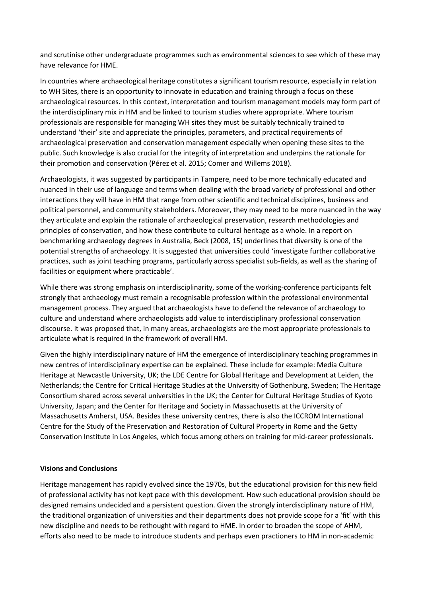and scrutinise other undergraduate programmes such as environmental sciences to see which of these may have relevance for HME.

In countries where archaeological heritage constitutes a significant tourism resource, especially in relation to WH Sites, there is an opportunity to innovate in education and training through a focus on these archaeological resources. In this context, interpretation and tourism management models may form part of the interdisciplinary mix in HM and be linked to tourism studies where appropriate. Where tourism professionals are responsible for managing WH sites they must be suitably technically trained to understand 'their' site and appreciate the principles, parameters, and practical requirements of archaeological preservation and conservation management especially when opening these sites to the public. Such knowledge is also crucial for the integrity of interpretation and underpins the rationale for their promotion and conservation (Pérez et al. 2015; Comer and Willems 2018).

Archaeologists, it was suggested by participants in Tampere, need to be more technically educated and nuanced in their use of language and terms when dealing with the broad variety of professional and other interactions they will have in HM that range from other scientific and technical disciplines, business and political personnel, and community stakeholders. Moreover, they may need to be more nuanced in the way they articulate and explain the rationale of archaeological preservation, research methodologies and principles of conservation, and how these contribute to cultural heritage as a whole. In a report on benchmarking archaeology degrees in Australia, Beck (2008, 15) underlines that diversity is one of the potential strengths of archaeology. It is suggested that universities could 'investigate further collaborative practices, such as joint teaching programs, particularly across specialist sub-fields, as well as the sharing of facilities or equipment where practicable'.

While there was strong emphasis on interdisciplinarity, some of the working-conference participants felt strongly that archaeology must remain a recognisable profession within the professional environmental management process. They argued that archaeologists have to defend the relevance of archaeology to culture and understand where archaeologists add value to interdisciplinary professional conservation discourse. It was proposed that, in many areas, archaeologists are the most appropriate professionals to articulate what is required in the framework of overall HM.

Given the highly interdisciplinary nature of HM the emergence of interdisciplinary teaching programmes in new centres of interdisciplinary expertise can be explained. These include for example: Media Culture Heritage at Newcastle University, UK; the LDE Centre for Global Heritage and Development at Leiden, the Netherlands; the Centre for Critical Heritage Studies at the University of Gothenburg, Sweden; The Heritage Consortium shared across several universities in the UK; the Center for Cultural Heritage Studies of Kyoto University, Japan; and the Center for Heritage and Society in Massachusetts at the University of Massachusetts Amherst, USA. Besides these university centres, there is also the ICCROM International Centre for the Study of the Preservation and Restoration of Cultural Property in Rome and the Getty Conservation Institute in Los Angeles, which focus among others on training for mid-career professionals.

# **Visions and Conclusions**

Heritage management has rapidly evolved since the 1970s, but the educational provision for this new field of professional activity has not kept pace with this development. How such educational provision should be designed remains undecided and a persistent question. Given the strongly interdisciplinary nature of HM, the traditional organization of universities and their departments does not provide scope for a 'fit' with this new discipline and needs to be rethought with regard to HME. In order to broaden the scope of AHM, efforts also need to be made to introduce students and perhaps even practioners to HM in non-academic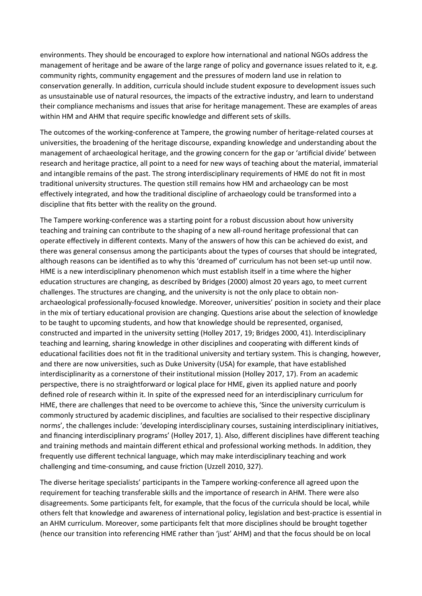environments. They should be encouraged to explore how international and national NGOs address the management of heritage and be aware of the large range of policy and governance issues related to it, e.g. community rights, community engagement and the pressures of modern land use in relation to conservation generally. In addition, curricula should include student exposure to development issues such as unsustainable use of natural resources, the impacts of the extractive industry, and learn to understand their compliance mechanisms and issues that arise for heritage management. These are examples of areas within HM and AHM that require specific knowledge and different sets of skills.

The outcomes of the working-conference at Tampere, the growing number of heritage-related courses at universities, the broadening of the heritage discourse, expanding knowledge and understanding about the management of archaeological heritage, and the growing concern for the gap or 'artificial divide' between research and heritage practice, all point to a need for new ways of teaching about the material, immaterial and intangible remains of the past. The strong interdisciplinary requirements of HME do not fit in most traditional university structures. The question still remains how HM and archaeology can be most effectively integrated, and how the traditional discipline of archaeology could be transformed into a discipline that fits better with the reality on the ground.

The Tampere working-conference was a starting point for a robust discussion about how university teaching and training can contribute to the shaping of a new all-round heritage professional that can operate effectively in different contexts. Many of the answers of how this can be achieved do exist, and there was general consensus among the participants about the types of courses that should be integrated, although reasons can be identified as to why this 'dreamed of' curriculum has not been set-up until now. HME is a new interdisciplinary phenomenon which must establish itself in a time where the higher education structures are changing, as described by Bridges (2000) almost 20 years ago, to meet current challenges. The structures are changing, and the university is not the only place to obtain nonarchaeological professionally-focused knowledge. Moreover, universities' position in society and their place in the mix of tertiary educational provision are changing. Questions arise about the selection of knowledge to be taught to upcoming students, and how that knowledge should be represented, organised, constructed and imparted in the university setting (Holley 2017, 19; Bridges 2000, 41). Interdisciplinary teaching and learning, sharing knowledge in other disciplines and cooperating with different kinds of educational facilities does not fit in the traditional university and tertiary system. This is changing, however, and there are now universities, such as Duke University (USA) for example, that have established interdisciplinarity as a cornerstone of their institutional mission (Holley 2017, 17). From an academic perspective, there is no straightforward or logical place for HME, given its applied nature and poorly defined role of research within it. In spite of the expressed need for an interdisciplinary curriculum for HME, there are challenges that need to be overcome to achieve this, 'Since the university curriculum is commonly structured by academic disciplines, and faculties are socialised to their respective disciplinary norms', the challenges include: 'developing interdisciplinary courses, sustaining interdisciplinary initiatives, and financing interdisciplinary programs' (Holley 2017, 1). Also, different disciplines have different teaching and training methods and maintain different ethical and professional working methods. In addition, they frequently use different technical language, which may make interdisciplinary teaching and work challenging and time-consuming, and cause friction (Uzzell 2010, 327).

The diverse heritage specialists' participants in the Tampere working-conference all agreed upon the requirement for teaching transferable skills and the importance of research in AHM. There were also disagreements. Some participants felt, for example, that the focus of the curricula should be local, while others felt that knowledge and awareness of international policy, legislation and best-practice is essential in an AHM curriculum. Moreover, some participants felt that more disciplines should be brought together (hence our transition into referencing HME rather than 'just' AHM) and that the focus should be on local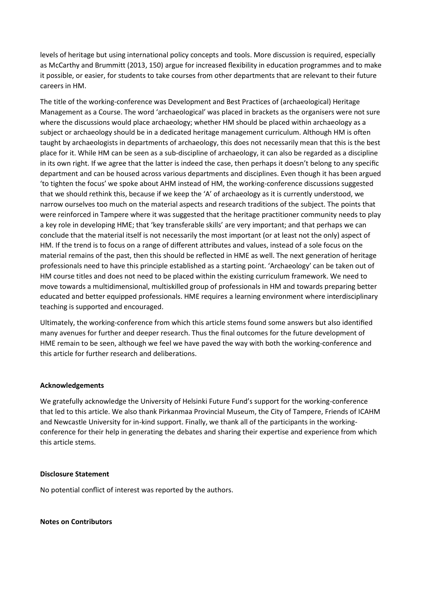levels of heritage but using international policy concepts and tools. More discussion is required, especially as McCarthy and Brummitt (2013, 150) argue for increased flexibility in education programmes and to make it possible, or easier, for students to take courses from other departments that are relevant to their future careers in HM.

The title of the working-conference was Development and Best Practices of (archaeological) Heritage Management as a Course. The word 'archaeological' was placed in brackets as the organisers were not sure where the discussions would place archaeology; whether HM should be placed within archaeology as a subject or archaeology should be in a dedicated heritage management curriculum. Although HM is often taught by archaeologists in departments of archaeology, this does not necessarily mean that this is the best place for it. While HM can be seen as a sub-discipline of archaeology, it can also be regarded as a discipline in its own right. If we agree that the latter is indeed the case, then perhaps it doesn't belong to any specific department and can be housed across various departments and disciplines. Even though it has been argued 'to tighten the focus' we spoke about AHM instead of HM, the working-conference discussions suggested that we should rethink this, because if we keep the 'A' of archaeology as it is currently understood, we narrow ourselves too much on the material aspects and research traditions of the subject. The points that were reinforced in Tampere where it was suggested that the heritage practitioner community needs to play a key role in developing HME; that 'key transferable skills' are very important; and that perhaps we can conclude that the material itself is not necessarily the most important (or at least not the only) aspect of HM. If the trend is to focus on a range of different attributes and values, instead of a sole focus on the material remains of the past, then this should be reflected in HME as well. The next generation of heritage professionals need to have this principle established as a starting point. 'Archaeology' can be taken out of HM course titles and does not need to be placed within the existing curriculum framework. We need to move towards a multidimensional, multiskilled group of professionals in HM and towards preparing better educated and better equipped professionals. HME requires a learning environment where interdisciplinary teaching is supported and encouraged.

Ultimately, the working-conference from which this article stems found some answers but also identified many avenues for further and deeper research. Thus the final outcomes for the future development of HME remain to be seen, although we feel we have paved the way with both the working-conference and this article for further research and deliberations.

# **Acknowledgements**

We gratefully acknowledge the University of Helsinki Future Fund's support for the working-conference that led to this article. We also thank Pirkanmaa Provincial Museum, the City of Tampere, Friends of ICAHM and Newcastle University for in-kind support. Finally, we thank all of the participants in the workingconference for their help in generating the debates and sharing their expertise and experience from which this article stems.

# **Disclosure Statement**

No potential conflict of interest was reported by the authors.

# **Notes on Contributors**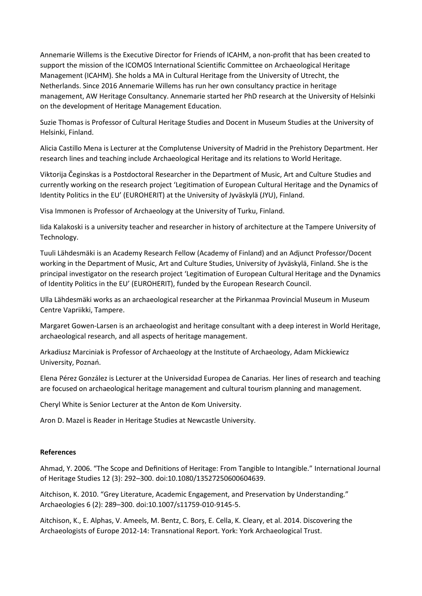Annemarie Willems is the Executive Director for Friends of ICAHM, a non-profit that has been created to support the mission of the ICOMOS International Scientific Committee on Archaeological Heritage Management (ICAHM). She holds a MA in Cultural Heritage from the University of Utrecht, the Netherlands. Since 2016 Annemarie Willems has run her own consultancy practice in heritage management, AW Heritage Consultancy. Annemarie started her PhD research at the University of Helsinki on the development of Heritage Management Education.

Suzie Thomas is Professor of Cultural Heritage Studies and Docent in Museum Studies at the University of Helsinki, Finland.

Alicia Castillo Mena is Lecturer at the Complutense University of Madrid in the Prehistory Department. Her research lines and teaching include Archaeological Heritage and its relations to World Heritage.

Viktorija Čeginskas is a Postdoctoral Researcher in the Department of Music, Art and Culture Studies and currently working on the research project 'Legitimation of European Cultural Heritage and the Dynamics of Identity Politics in the EU' (EUROHERIT) at the University of Jyväskylä (JYU), Finland.

Visa Immonen is Professor of Archaeology at the University of Turku, Finland.

Iida Kalakoski is a university teacher and researcher in history of architecture at the Tampere University of Technology.

Tuuli Lähdesmäki is an Academy Research Fellow (Academy of Finland) and an Adjunct Professor/Docent working in the Department of Music, Art and Culture Studies, University of Jyväskylä, Finland. She is the principal investigator on the research project 'Legitimation of European Cultural Heritage and the Dynamics of Identity Politics in the EU' (EUROHERIT), funded by the European Research Council.

Ulla Lähdesmäki works as an archaeological researcher at the Pirkanmaa Provincial Museum in Museum Centre Vapriikki, Tampere.

Margaret Gowen-Larsen is an archaeologist and heritage consultant with a deep interest in World Heritage, archaeological research, and all aspects of heritage management.

Arkadiusz Marciniak is Professor of Archaeology at the Institute of Archaeology, Adam Mickiewicz University, Poznań.

Elena Pérez González is Lecturer at the Universidad Europea de Canarias. Her lines of research and teaching are focused on archaeological heritage management and cultural tourism planning and management.

Cheryl White is Senior Lecturer at the Anton de Kom University.

Aron D. Mazel is Reader in Heritage Studies at Newcastle University.

# **References**

Ahmad, Y. 2006. "The Scope and Definitions of Heritage: From Tangible to Intangible." International Journal of Heritage Studies 12 (3): 292–300. doi:10.1080/13527250600604639.

Aitchison, K. 2010. "Grey Literature, Academic Engagement, and Preservation by Understanding." Archaeologies 6 (2): 289–300. doi:10.1007/s11759-010-9145-5.

Aitchison, K., E. Alphas, V. Ameels, M. Bentz, C. Borș, E. Cella, K. Cleary, et al. 2014. Discovering the Archaeologists of Europe 2012-14: Transnational Report. York: York Archaeological Trust.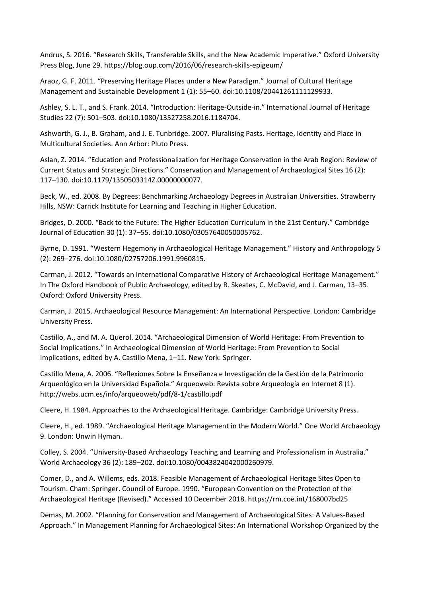Andrus, S. 2016. "Research Skills, Transferable Skills, and the New Academic Imperative." Oxford University Press Blog, June 29. https://blog.oup.com/2016/06/research-skills-epigeum/

Araoz, G. F. 2011. "Preserving Heritage Places under a New Paradigm." Journal of Cultural Heritage Management and Sustainable Development 1 (1): 55–60. doi:10.1108/20441261111129933.

Ashley, S. L. T., and S. Frank. 2014. "Introduction: Heritage-Outside-in." International Journal of Heritage Studies 22 (7): 501–503. doi:10.1080/13527258.2016.1184704.

Ashworth, G. J., B. Graham, and J. E. Tunbridge. 2007. Pluralising Pasts. Heritage, Identity and Place in Multicultural Societies. Ann Arbor: Pluto Press.

Aslan, Z. 2014. "Education and Professionalization for Heritage Conservation in the Arab Region: Review of Current Status and Strategic Directions." Conservation and Management of Archaeological Sites 16 (2): 117–130. doi:10.1179/1350503314Z.00000000077.

Beck, W., ed. 2008. By Degrees: Benchmarking Archaeology Degrees in Australian Universities. Strawberry Hills, NSW: Carrick Institute for Learning and Teaching in Higher Education.

Bridges, D. 2000. "Back to the Future: The Higher Education Curriculum in the 21st Century." Cambridge Journal of Education 30 (1): 37–55. doi:10.1080/03057640050005762.

Byrne, D. 1991. "Western Hegemony in Archaeological Heritage Management." History and Anthropology 5 (2): 269–276. doi:10.1080/02757206.1991.9960815.

Carman, J. 2012. "Towards an International Comparative History of Archaeological Heritage Management." In The Oxford Handbook of Public Archaeology, edited by R. Skeates, C. McDavid, and J. Carman, 13–35. Oxford: Oxford University Press.

Carman, J. 2015. Archaeological Resource Management: An International Perspective. London: Cambridge University Press.

Castillo, A., and M. A. Querol. 2014. "Archaeological Dimension of World Heritage: From Prevention to Social Implications." In Archaeological Dimension of World Heritage: From Prevention to Social Implications, edited by A. Castillo Mena, 1–11. New York: Springer.

Castillo Mena, A. 2006. "Reflexiones Sobre la Enseñanza e Investigación de la Gestión de la Patrimonio Arqueológico en la Universidad Española." Arqueoweb: Revista sobre Arqueología en Internet 8 (1). http://webs.ucm.es/info/arqueoweb/pdf/8-1/castillo.pdf

Cleere, H. 1984. Approaches to the Archaeological Heritage. Cambridge: Cambridge University Press.

Cleere, H., ed. 1989. "Archaeological Heritage Management in the Modern World." One World Archaeology 9. London: Unwin Hyman.

Colley, S. 2004. "University-Based Archaeology Teaching and Learning and Professionalism in Australia." World Archaeology 36 (2): 189–202. doi:10.1080/0043824042000260979.

Comer, D., and A. Willems, eds. 2018. Feasible Management of Archaeological Heritage Sites Open to Tourism. Cham: Springer. Council of Europe. 1990. "European Convention on the Protection of the Archaeological Heritage (Revised)." Accessed 10 December 2018. https://rm.coe.int/168007bd25

Demas, M. 2002. "Planning for Conservation and Management of Archaeological Sites: A Values-Based Approach." In Management Planning for Archaeological Sites: An International Workshop Organized by the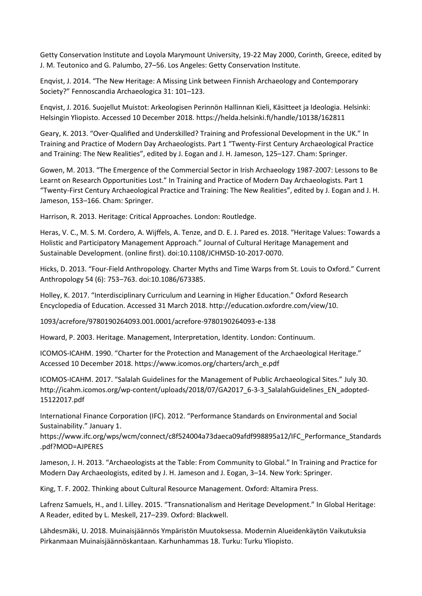Getty Conservation Institute and Loyola Marymount University, 19-22 May 2000, Corinth, Greece, edited by J. M. Teutonico and G. Palumbo, 27–56. Los Angeles: Getty Conservation Institute.

Enqvist, J. 2014. "The New Heritage: A Missing Link between Finnish Archaeology and Contemporary Society?" Fennoscandia Archaeologica 31: 101–123.

Enqvist, J. 2016. Suojellut Muistot: Arkeologisen Perinnön Hallinnan Kieli, Käsitteet ja Ideologia. Helsinki: Helsingin Yliopisto. Accessed 10 December 2018. https://helda.helsinki.fi/handle/10138/162811

Geary, K. 2013. "Over-Qualified and Underskilled? Training and Professional Development in the UK." In Training and Practice of Modern Day Archaeologists. Part 1 "Twenty-First Century Archaeological Practice and Training: The New Realities", edited by J. Eogan and J. H. Jameson, 125–127. Cham: Springer.

Gowen, M. 2013. "The Emergence of the Commercial Sector in Irish Archaeology 1987-2007: Lessons to Be Learnt on Research Opportunities Lost." In Training and Practice of Modern Day Archaeologists. Part 1 "Twenty-First Century Archaeological Practice and Training: The New Realities", edited by J. Eogan and J. H. Jameson, 153–166. Cham: Springer.

Harrison, R. 2013. Heritage: Critical Approaches. London: Routledge.

Heras, V. C., M. S. M. Cordero, A. Wijffels, A. Tenze, and D. E. J. Pared es. 2018. "Heritage Values: Towards a Holistic and Participatory Management Approach." Journal of Cultural Heritage Management and Sustainable Development. (online first). doi:10.1108/JCHMSD-10-2017-0070.

Hicks, D. 2013. "Four-Field Anthropology. Charter Myths and Time Warps from St. Louis to Oxford." Current Anthropology 54 (6): 753–763. doi:10.1086/673385.

Holley, K. 2017. "Interdisciplinary Curriculum and Learning in Higher Education." Oxford Research Encyclopedia of Education. Accessed 31 March 2018. http://education.oxfordre.com/view/10.

1093/acrefore/9780190264093.001.0001/acrefore-9780190264093-e-138

Howard, P. 2003. Heritage. Management, Interpretation, Identity. London: Continuum.

ICOMOS-ICAHM. 1990. "Charter for the Protection and Management of the Archaeological Heritage." Accessed 10 December 2018. https://www.icomos.org/charters/arch\_e.pdf

ICOMOS-ICAHM. 2017. "Salalah Guidelines for the Management of Public Archaeological Sites." July 30. http://icahm.icomos.org/wp-content/uploads/2018/07/GA2017\_6-3-3\_SalalahGuidelines\_EN\_adopted-15122017.pdf

International Finance Corporation (IFC). 2012. "Performance Standards on Environmental and Social Sustainability." January 1.

https://www.ifc.org/wps/wcm/connect/c8f524004a73daeca09afdf998895a12/IFC\_Performance\_Standards .pdf?MOD=AJPERES

Jameson, J. H. 2013. "Archaeologists at the Table: From Community to Global." In Training and Practice for Modern Day Archaeologists, edited by J. H. Jameson and J. Eogan, 3–14. New York: Springer.

King, T. F. 2002. Thinking about Cultural Resource Management. Oxford: Altamira Press.

Lafrenz Samuels, H., and I. Lilley. 2015. "Transnationalism and Heritage Development." In Global Heritage: A Reader, edited by L. Meskell, 217–239. Oxford: Blackwell.

Lähdesmäki, U. 2018. Muinaisjäännös Ympäristön Muutoksessa. Modernin Alueidenkäytön Vaikutuksia Pirkanmaan Muinaisjäännöskantaan. Karhunhammas 18. Turku: Turku Yliopisto.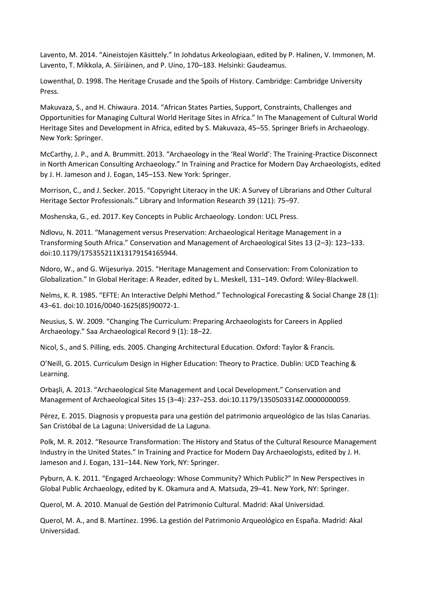Lavento, M. 2014. "Aineistojen Käsittely." In Johdatus Arkeologiaan, edited by P. Halinen, V. Immonen, M. Lavento, T. Mikkola, A. Siiriäinen, and P. Uino, 170–183. Helsinki: Gaudeamus.

Lowenthal, D. 1998. The Heritage Crusade and the Spoils of History. Cambridge: Cambridge University Press.

Makuvaza, S., and H. Chiwaura. 2014. "African States Parties, Support, Constraints, Challenges and Opportunities for Managing Cultural World Heritage Sites in Africa." In The Management of Cultural World Heritage Sites and Development in Africa, edited by S. Makuvaza, 45–55. Springer Briefs in Archaeology. New York: Springer.

McCarthy, J. P., and A. Brummitt. 2013. "Archaeology in the 'Real World': The Training-Practice Disconnect in North American Consulting Archaeology." In Training and Practice for Modern Day Archaeologists, edited by J. H. Jameson and J. Eogan, 145–153. New York: Springer.

Morrison, C., and J. Secker. 2015. "Copyright Literacy in the UK: A Survey of Librarians and Other Cultural Heritage Sector Professionals." Library and Information Research 39 (121): 75–97.

Moshenska, G., ed. 2017. Key Concepts in Public Archaeology. London: UCL Press.

Ndlovu, N. 2011. "Management versus Preservation: Archaeological Heritage Management in a Transforming South Africa." Conservation and Management of Archaeological Sites 13 (2–3): 123–133. doi:10.1179/175355211X13179154165944.

Ndoro, W., and G. Wijesuriya. 2015. "Heritage Management and Conservation: From Colonization to Globalization." In Global Heritage: A Reader, edited by L. Meskell, 131–149. Oxford: Wiley-Blackwell.

Nelms, K. R. 1985. "EFTE: An Interactive Delphi Method." Technological Forecasting & Social Change 28 (1): 43–61. doi:10.1016/0040-1625(85)90072-1.

Neusius, S. W. 2009. "Changing The Curriculum: Preparing Archaeologists for Careers in Applied Archaeology." Saa Archaeological Record 9 (1): 18–22.

Nicol, S., and S. Pilling, eds. 2005. Changing Architectural Education. Oxford: Taylor & Francis.

O'Neill, G. 2015. Curriculum Design in Higher Education: Theory to Practice. Dublin: UCD Teaching & Learning.

Orbaşli, A. 2013. "Archaeological Site Management and Local Development." Conservation and Management of Archaeological Sites 15 (3–4): 237–253. doi:10.1179/1350503314Z.00000000059.

Pérez, E. 2015. Diagnosis y propuesta para una gestión del patrimonio arqueológico de las Islas Canarias. San Cristóbal de La Laguna: Universidad de La Laguna.

Polk, M. R. 2012. "Resource Transformation: The History and Status of the Cultural Resource Management Industry in the United States." In Training and Practice for Modern Day Archaeologists, edited by J. H. Jameson and J. Eogan, 131–144. New York, NY: Springer.

Pyburn, A. K. 2011. "Engaged Archaeology: Whose Community? Which Public?" In New Perspectives in Global Public Archaeology, edited by K. Okamura and A. Matsuda, 29–41. New York, NY: Springer.

Querol, M. A. 2010. Manual de Gestión del Patrimonio Cultural. Madrid: Akal Universidad.

Querol, M. A., and B. Martínez. 1996. La gestión del Patrimonio Arqueológico en España. Madrid: Akal Universidad.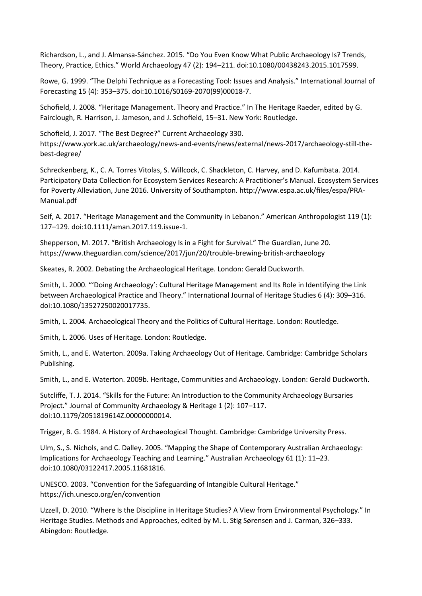Richardson, L., and J. Almansa-Sánchez. 2015. "Do You Even Know What Public Archaeology Is? Trends, Theory, Practice, Ethics." World Archaeology 47 (2): 194–211. doi:10.1080/00438243.2015.1017599.

Rowe, G. 1999. "The Delphi Technique as a Forecasting Tool: Issues and Analysis." International Journal of Forecasting 15 (4): 353–375. doi:10.1016/S0169-2070(99)00018-7.

Schofield, J. 2008. "Heritage Management. Theory and Practice." In The Heritage Raeder, edited by G. Fairclough, R. Harrison, J. Jameson, and J. Schofield, 15–31. New York: Routledge.

Schofield, J. 2017. "The Best Degree?" Current Archaeology 330. https://www.york.ac.uk/archaeology/news-and-events/news/external/news-2017/archaeology-still-thebest-degree/

Schreckenberg, K., C. A. Torres Vitolas, S. Willcock, C. Shackleton, C. Harvey, and D. Kafumbata. 2014. Participatory Data Collection for Ecosystem Services Research: A Practitioner's Manual. Ecosystem Services for Poverty Alleviation, June 2016. University of Southampton. http://www.espa.ac.uk/files/espa/PRA-Manual.pdf

Seif, A. 2017. "Heritage Management and the Community in Lebanon." American Anthropologist 119 (1): 127–129. doi:10.1111/aman.2017.119.issue-1.

Shepperson, M. 2017. "British Archaeology Is in a Fight for Survival." The Guardian, June 20. https://www.theguardian.com/science/2017/jun/20/trouble-brewing-british-archaeology

Skeates, R. 2002. Debating the Archaeological Heritage. London: Gerald Duckworth.

Smith, L. 2000. "'Doing Archaeology': Cultural Heritage Management and Its Role in Identifying the Link between Archaeological Practice and Theory." International Journal of Heritage Studies 6 (4): 309–316. doi:10.1080/13527250020017735.

Smith, L. 2004. Archaeological Theory and the Politics of Cultural Heritage. London: Routledge.

Smith, L. 2006. Uses of Heritage. London: Routledge.

Smith, L., and E. Waterton. 2009a. Taking Archaeology Out of Heritage. Cambridge: Cambridge Scholars Publishing.

Smith, L., and E. Waterton. 2009b. Heritage, Communities and Archaeology. London: Gerald Duckworth.

Sutcliffe, T. J. 2014. "Skills for the Future: An Introduction to the Community Archaeology Bursaries Project." Journal of Community Archaeology & Heritage 1 (2): 107–117. doi:10.1179/2051819614Z.00000000014.

Trigger, B. G. 1984. A History of Archaeological Thought. Cambridge: Cambridge University Press.

Ulm, S., S. Nichols, and C. Dalley. 2005. "Mapping the Shape of Contemporary Australian Archaeology: Implications for Archaeology Teaching and Learning." Australian Archaeology 61 (1): 11–23. doi:10.1080/03122417.2005.11681816.

UNESCO. 2003. "Convention for the Safeguarding of Intangible Cultural Heritage." https://ich.unesco.org/en/convention

Uzzell, D. 2010. "Where Is the Discipline in Heritage Studies? A View from Environmental Psychology." In Heritage Studies. Methods and Approaches, edited by M. L. Stig Sørensen and J. Carman, 326–333. Abingdon: Routledge.